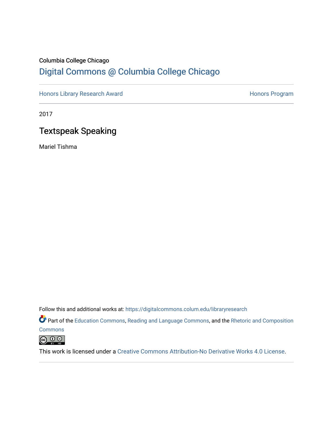## Columbia College Chicago [Digital Commons @ Columbia College Chicago](https://digitalcommons.colum.edu/)

[Honors Library Research Award](https://digitalcommons.colum.edu/libraryresearch) **Honors Program** Honors Program

2017

## Textspeak Speaking

Mariel Tishma

Follow this and additional works at: [https://digitalcommons.colum.edu/libraryresearch](https://digitalcommons.colum.edu/libraryresearch?utm_source=digitalcommons.colum.edu%2Flibraryresearch%2F1&utm_medium=PDF&utm_campaign=PDFCoverPages) 

Part of the [Education Commons](http://network.bepress.com/hgg/discipline/784?utm_source=digitalcommons.colum.edu%2Flibraryresearch%2F1&utm_medium=PDF&utm_campaign=PDFCoverPages), [Reading and Language Commons,](http://network.bepress.com/hgg/discipline/1037?utm_source=digitalcommons.colum.edu%2Flibraryresearch%2F1&utm_medium=PDF&utm_campaign=PDFCoverPages) and the Rhetoric and Composition

**[Commons](http://network.bepress.com/hgg/discipline/573?utm_source=digitalcommons.colum.edu%2Flibraryresearch%2F1&utm_medium=PDF&utm_campaign=PDFCoverPages)** 



This work is licensed under a [Creative Commons Attribution-No Derivative Works 4.0 License.](https://creativecommons.org/licenses/by-nd/4.0/)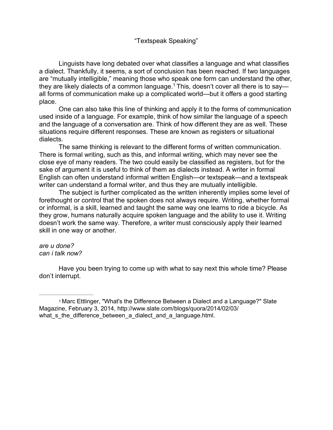#### <span id="page-1-1"></span>"Textspeak Speaking"

Linguists have long debated over what classifies a language and what classifies a dialect. Thankfully, it seems, a sort of conclusion has been reached. If two languages are "mutually intelligible," meaning those who speak one form can understand the other, they are likely dialects of a common language.<sup>1</sup> This, doesn't cover all there is to say all forms of communication make up a complicated world—but it offers a good starting place.

One can also take this line of thinking and apply it to the forms of communication used inside of a language. For example, think of how similar the language of a speech and the language of a conversation are. Think of how different they are as well. These situations require different responses. These are known as registers or situational dialects.

The same thinking is relevant to the different forms of written communication. There is formal writing, such as this, and informal writing, which may never see the close eye of many readers. The two could easily be classified as registers, but for the sake of argument it is useful to think of them as dialects instead. A writer in formal English can often understand informal written English—or textspeak—and a textspeak writer can understand a formal writer, and thus they are mutually intelligible.

The subject is further complicated as the written inherently implies some level of forethought or control that the spoken does not always require. Writing, whether formal or informal, is a skill, learned and taught the same way one learns to ride a bicycle. As they grow, humans naturally acquire spoken language and the ability to use it. Writing doesn't work the same way. Therefore, a writer must consciously apply their learned skill in one way or another.

#### *are u done? can i talk now?*

Have you been trying to come up with what to say next this whole time? Please don't interrupt.

<span id="page-1-0"></span>[<sup>1</sup>](#page-1-1) Marc Ettlinger, "What's the Difference Between a Dialect and a Language?" Slate Magazine, February 3, 2014,<http://www.slate.com/blogs/quora/2014/02/03/> what s the difference between a dialect and a language.html.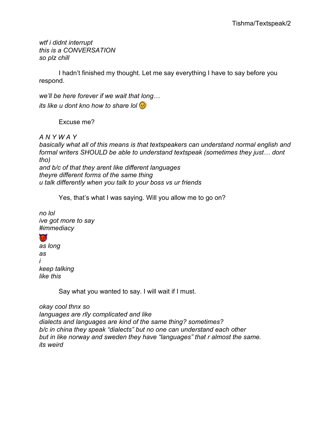*wtf i didnt interrupt this is a CONVERSATION so plz chill*

I hadn't finished my thought. Let me say everything I have to say before you respond.

*its like u dont kno how to share lol*  $\odot$ *we'll be here forever if we wait that long…* 

Excuse me?

*A N Y W A Y*

*basically what all of this means is that textspeakers can understand normal english and formal writers SHOULD be able to understand textspeak (sometimes they just… dont tho) and b/c of that they arent like different languages theyre different forms of the same thing u talk differently when you talk to your boss vs ur friends*

Yes, that's what I was saying. Will you allow me to go on?

*no lol ive got more to say #immediacy*

 $\bigcirc$ 

*as long as i keep talking like this*

Say what you wanted to say. I will wait if I must.

*okay cool thnx so languages are rlly complicated and like dialects and languages are kind of the same thing? sometimes? b/c in china they speak "dialects" but no one can understand each other but in like norway and sweden they have "languages" that r almost the same. its weird*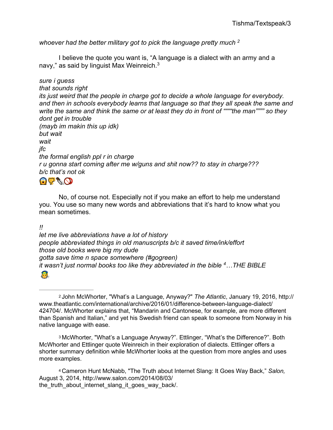<span id="page-3-3"></span>*whoever had the better military got to pick the language pretty much [2](#page-3-0)*

<span id="page-3-4"></span>I believe the quote you want is, "A language is a dialect with an army and a navy," as said by linguist Max Weinreich. $3$ 

*sure i guess that sounds right its just weird that the people in charge got to decide a whole language for everybody. and then in schools everybody learns that language so that they all speak the same and write the same and think the same or at least they do in front of """"the man"""" so they dont get in trouble (mayb im makin this up idk) but wait wait jfc the formal english ppl r in charge r u gonna start coming after me w/guns and shit now?? to stay in charge??? b/c that's not ok*

 $\Omega$ 

No, of course not. Especially not if you make an effort to help me understand you. You use so many new words and abbreviations that it's hard to know what you mean sometimes.

*!!*

*let me live abbreviations have a lot of history people abbreviated things in old manuscripts b/c it saved time/ink/effort those old books were big my dude gotta save time n space somewhere (#gogreen) it wasn't just normal books too like they abbreviated in the bible [4…](#page-3-2)THE BIBLE*

<span id="page-3-5"></span> $\bigcap$ 

<span id="page-3-0"></span>[2](#page-3-3) John McWhorter, "What's a Language, Anyway?" *The Atlantic*, January 19, 2016, http:// [www.theatlantic.com/international/archive/2016/01/difference-between-language-dialect/](http://www.theatlantic.com/international/archive/2016/01/difference-between-language-dialect/) 424704/. McWhorter explains that, "Mandarin and Cantonese, for example, are more different than Spanish and Italian," and yet his Swedish friend can speak to someone from Norway in his native language with ease.

<span id="page-3-1"></span>[3](#page-3-4) McWhorter, "What's a Language Anyway?". Ettlinger, "What's the Difference?". Both McWhorter and Ettlinger quote Weinreich in their exploration of dialects. Ettlinger offers a shorter summary definition while McWhorter looks at the question from more angles and uses more examples.

<span id="page-3-2"></span>[4](#page-3-5) Cameron Hunt McNabb, "The Truth about Internet Slang: It Goes Way Back," *Salon,*  August 3, 2014,<http://www.salon.com/2014/08/03/> the truth about internet slang it goes way back/.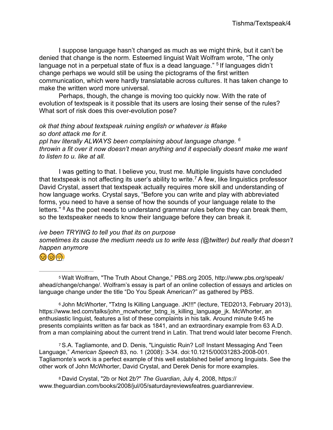<span id="page-4-4"></span>I suppose language hasn't changed as much as we might think, but it can't be denied that change is the norm. Esteemed linguist Walt Wolfram wrote, "The only language not in a perpetual state of flux is a dead language." <sup>5</sup> If languages didn't change perhaps we would still be using the pictograms of the first written communication, which were hardly translatable across cultures. It has taken change to make the written word more universal.

Perhaps, though, the change is moving too quickly now. With the rate of evolution of textspeak is it possible that its users are losing their sense of the rules? What sort of risk does this over-evolution pose?

<span id="page-4-5"></span>*ok that thing about textspeak ruining english or whatever is #fake so dont attack me for it. ppl hav literally ALWAYS been complaining about language change. [6](#page-4-1) throwin a fit over it now doesn't mean anything and it especially doesnt make me want to listen to u. like at all.*

<span id="page-4-6"></span>I was getting to that. I believe you, trust me. Multiple linguists have concluded that textspeak is not affecting its user's ability to write.<sup>7</sup> A few, like linguistics professor David Crystal, assert that textspeak actually requires more skill and understanding of how language works. Crystal says, "Before you can write and play with abbreviated forms, you need to have a sense of how the sounds of your language relate to the letters." <sup>8</sup> As the poet needs to understand grammar rules before they can break them, so the textspeaker needs to know their language before they can break it.

<span id="page-4-7"></span>*ive been TRYING to tell you that its on purpose sometimes its cause the medium needs us to write less (@twitter) but really that doesn't happen anymore*

<span id="page-4-0"></span>

[<sup>5</sup>](#page-4-4) Walt Wolfram, "The Truth About Change," PBS.org 2005,<http://www.pbs.org/speak/> ahead/change/change/. Wolfram's essay is part of an online collection of essays and articles on language change under the title "Do You Speak American?" as gathered by PBS.

<span id="page-4-1"></span>[6](#page-4-5) John McWhorter, "Txtng Is Killing Language. JK!!!" (lecture, TED2013, February 2013), https:/[/www.ted.com/talks/john\\_mcwhorter\\_txtng\\_is\\_killing\\_language\\_jk. M](http://www.ted.com/talks/john_mcwhorter_txtng_is_killing_language_jk)cWhorter, an enthusiastic linguist, features a list of these complaints in his talk. Around minute 9:45 he presents complaints written as far back as 1841, and an extraordinary example from 63 A.D. from a man complaining about the current trend in Latin. That trend would later become French.

<span id="page-4-2"></span>[7](#page-4-6) S.A. Tagliamonte, and D. Denis, "Linguistic Ruin? Lol! Instant Messaging And Teen Language," *American Speech* 83, no. 1 (2008): 3-34. doi:10.1215/00031283-2008-001. Tagliamonte's work is a perfect example of this well established belief among linguists. See the other work of John McWhorter, David Crystal, and Derek Denis for more examples.

<span id="page-4-3"></span>[8](#page-4-7) David Crystal, "2b or Not 2b?" *The Guardian*, July 4, 2008, https:// [www.theguardian.com/books/2008/jul/05/saturdayreviewsfeatres.guardianreview.](http://www.theguardian.com/books/2008/jul/05/saturdayreviewsfeatres.guardianreview)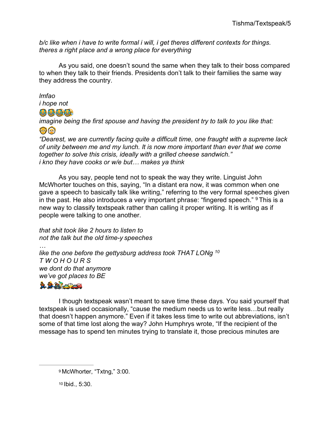b/c like when i have to write formal i will, i get theres different contexts for things. theres a right place and a wrong place for everything

As you said, one doesn't sound the same when they talk to their boss compared to when they talk to their friends. Presidents don't talk to their families the same way they address the country.

*Imfao* 

- *i* hope not
- $\bigoplus$   $\bigoplus$   $\bigoplus$

imagine being the first spouse and having the president try to talk to you like that: 36

"Dearest, we are currently facing quite a difficult time, one fraught with a supreme lack of unity between me and my lunch. It is now more important than ever that we come together to solve this crisis, ideally with a grilled cheese sandwich." *i kno they have cooks or w/e but... makes ya think* 

<span id="page-5-2"></span>As you say, people tend not to speak the way they write. Linguist John McWhorter touches on this, saying, "In a distant era now, it was common when one gave a speech to basically talk like writing," referring to the very formal speeches given in the past. He also introduces a very important phrase: "fingered speech." <sup>9</sup> This is a new way to classify textspeak rather than calling it proper writing. It is writing as if people were talking to one another.

<span id="page-5-3"></span>that shit took like 2 hours to listen to not the talk but the old time-y speeches like the one before the gettysburg address took THAT LONg 10 TWOHOURS we dont do that anymore we've got places to BE



I though textspeak wasn't meant to save time these days. You said yourself that textspeak is used occasionally, "cause the medium needs us to write less...but really that doesn't happen anymore." Even if it takes less time to write out abbreviations, isn't some of that time lost along the way? John Humphrys wrote, "If the recipient of the message has to spend ten minutes trying to translate it, those precious minutes are

<span id="page-5-1"></span>10 Ibid., 5:30.

<span id="page-5-0"></span><sup>&</sup>lt;sup>9</sup> McWhorter, "Txtng," 3:00.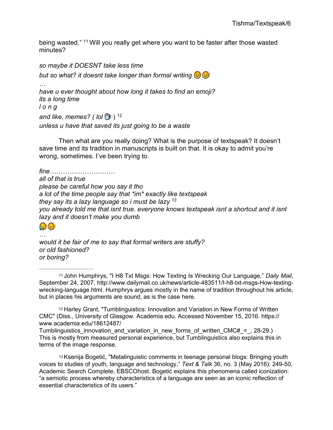<span id="page-6-3"></span>being wasted." [11](#page-6-0) Will you really get where you want to be faster after those wasted minutes?

*so maybe it DOESNT take less time* but so what? it doesnt take longer than formal writing  $\circledast$   $\circledast$ *… have u ever thought about how long it takes to find an emoji? its a long time l o n g* and like, memes? ( lol **D** ) <sup>12</sup> *unless u have that saved its just going to be a waste*

<span id="page-6-4"></span>Then what are you really doing? What is the purpose of textspeak? It doesn't save time and its tradition in manuscripts is built on that. It is okay to admit you're wrong, sometimes. I've been trying to.

*fine………………………… all of that is true please be careful how you say it tho a lot of the time people say that \*im\* exactly like textspeak they say its a lazy language so i must be lazy [13](#page-6-2) you already told me that isnt true. everyone knows textspeak isnt a shortcut and it isnt lazy and it doesn't make you dumb*

#### <span id="page-6-5"></span> $\textcircled{\textcircled{\tiny{2}}}\textcircled{\textcircled{\tiny{2}}}\textcircled{\textcircled{\tiny{2}}}\textcircled{\textcircled{\tiny{2}}}\textcircled{\textcircled{\tiny{2}}}\textcircled{\textcircled{\tiny{2}}}\textcircled{\textcircled{\tiny{2}}}\textcircled{\textcircled{\tiny{2}}}\textcircled{\textcircled{\tiny{2}}}\textcircled{\textcircled{\tiny{2}}}\textcircled{\textcircled{\tiny{2}}}\textcircled{\textcircled{\tiny{2}}}\textcircled{\textcircled{\tiny{2}}}\textcircled{\textcircled{\tiny{2}}}\textcircled{\textcircled{\tiny{2}}}\textcircled{\textcircled{\tiny{2}}}\textcircled{\textcircled{\tiny{2$

*… would it be fair of me to say that formal writers are stuffy? or old fashioned? or boring?*

<span id="page-6-0"></span>[11](#page-6-3) John Humphrys, "I H8 Txt Msgs: How Texting Is Wrecking Our Language," *Daily Mail*, September 24, 2007, [http://www.dailymail.co.uk/news/article-483511/I-h8-txt-msgs-How-texting](http://www.dailymail.co.uk/news/article-483511/I-h8-txt-msgs-How-texting-)wrecking-language.html. Humphrys argues mostly in the name of tradition throughout his article, but in places his arguments are sound, as is the case here.

<span id="page-6-1"></span>[12](#page-6-4) Harley Grant, "Tumblinguistics: Innovation and Variation in New Forms of Written CMC" (Diss., University of Glasgow. Academia.edu. Accessed November 15, 2016. https:// [www.academia.edu/18612487/](http://www.academia.edu/18612487/)

Tumblinguistics innovation and variation in new forms of written CMC# $=$ , 28-29.) This is mostly from measured personal experience, but Tumblinguistics also explains this in terms of the image response.

<span id="page-6-2"></span>[13](#page-6-5) Ksenija Bogetić, "Metalinguistic comments in teenage personal blogs: Bringing youth voices to studies of youth, language and technology," *Text & Talk* 36, no. 3 (May 2016): 249-50, Academic Search Complete, EBSCOhost. Bogetić explains this phenomena called iconization: "a semiotic process whereby characteristics of a language are seen as an iconic reflection of essential characteristics of its users."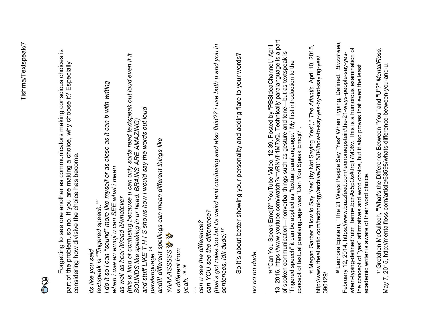# $\mathbf{O}$

Forgetting to see one another as communicators making conscious choices is Forgetting to see one another as communicators making conscious choices is part of the problem, so no. If you are making a choice, why choose it? Especially part of the problem, so no. If you are making a choice, why choose it? Especially considering how divisive the choice has become. considering how divisive the choice has become.

(this is kind of confusing because u can only sorta read textspeak out loud even if it<br>SOUNDS like speaking in ur head. BRAINS ARE AMAZING)<br>and stuff LIKE T H I S shows how i would say the words out loud<br>paralanguage <sup>14</sup> *(this is kind of confusing because u can only sorta read textspeak out loud even if it i do it so i can \*sound\* more like myself or as close as it can b with writing*  i do it so i can "sound" more like myself or as close as it can b with writing *and stuff LIKE T H I S shows how i would say the words out loud SOUNDS like speaking in ur head. BRAINS ARE AMAZING) and!!! different spellings can mean different things like*  and!!! different spellings can mean different things like when i use an emoji u can SEE what i mean *when i use an emoji u can SEE what i mean* as well as hear it/read it/whatever *as well as hear it/read it/whatever* textspeak is ""fingered speech."" *textspeak is ""fingered speech.""* can YOU see the difference? *can YOU see the difference? can u see the difference?*  can u see the difference? ✨✨ \* + *paralanguage [14](#page-7-0)* its like you said is different from *is different from its like you said YAAAASSSSS yeah. [15](#page-7-1) [16](#page-7-2) …* 

So it's about better showing your personality and adding flare to your words? So it's about better showing your personality and adding flare to your words?

*(that's got rules too but its weird and confusing and also fluid?? i use both u and you in* 

(that's got rules too but its weird and confusing and also fluid?? i use both u and you in

<span id="page-7-7"></span><span id="page-7-6"></span><span id="page-7-5"></span>*sentences, idk dude[\)17](#page-7-3)*

<span id="page-7-4"></span>sentences, idk dude)<sup>17</sup>

<span id="page-7-3"></span><span id="page-7-2"></span><span id="page-7-1"></span><span id="page-7-0"></span>no no no dude *no no no dude*

13, 2016, https:/[/www.youtube.com/watch?v=vRNVf-1M7xQ. T](http://www.youtube.com/watch?v=vRNVf-1M7xQ)echnically paralanguage is a part 13, 2016, https://www.youtube.com/watch?v=vRNVf-1M7xQ. Technically paralanguage is a part [14](#page-7-4) "Can You Speak Emoji?" YouTube Video, 12:39, Posted by "PBSIdeaChannel," April 14 "Can You Speak Emoji?" YouTube Video, 12:39, Posted by "PBSIdeaChannel," April of spoken communication—nonverbal things such as gesture and tone—but as textspeak is of spoken communication-nonverbal things such as gesture and tone-but as textspeak is "fingered speech" it can be applied as "textual paralanguage." My first introduction to the "fingered speech" it can be applied as "textual paralanguage." My first introduction to the<br>concept of textual paralanguage was "Can You Speak Emoji?". concept of textual paralanguage was "Can You Speak Emoji?".

[15](#page-7-5) Megan Garber,"How to Say 'Yes' (by Not Saying 'Yes')," *The Atlantic,* April 10, 2015, <sup>15</sup> Megan Garber,"How to Say 'Yes' (by Not Saying 'Yes')," The Atlantic, April 10, 2015,<br>http://www.theatlantic.com/technology/archive/2015/04/how-to-say-yes-by-not-saying-yes/ <http://www.theatlantic.com/technology/archive/2015/04/how-to-say-yes-by-not-saying-yes/> 390129/.

[16](#page-7-6) Leonora Epstein, "The 21 Ways People Say "Yes" When Typing, Defined," *BuzzFeed,*  <sup>16</sup> Leonora Epstein, "The 21 Ways People Say "Yes" When Typing, Defined," BuzzFeed, when-typing-defined?utm\_term=.bcnAx5pOz#.lrq17M08v. This is a humorous examination of<br>the concept of "yes" affirmatives and word choice, but it also proves that even the least when-typing-defined?utm\_term=.bcnAx5pOz#.lrq17M08v. This is a humorous examination of February 12, 2014, https://www.buzzfeed.com/leonoraepstein/the-21-ways-people-say-yes-February 12, 2014, https:/[/www.buzzfeed.com/leonoraepstein/the-21-ways-people-say-yes](http://www.buzzfeed.com/leonoraepstein/the-21-ways-people-say-yes-)the concept of "yes" affirmatives and word choice, but it also proves that even the least academic writer is aware of their word choice. academic writer is aware of their word choice.

17 Gretchen McCulloch, "What's the Difference Between "You" and "U"?" MentalFloss,<br>May 7, 2015, http://mentalfloss.com/article/63598/whats-difference-between-you-and-u. [17](#page-7-7) Gretchen McCulloch, "What's the Difference Between "You" and "U"?" *MentalFloss,* May 7, 2015, [http://mentalfloss.com/article/63598/whats-difference-between-you-and-u.](http://mentalfloss.com/article/63598/whats-difference-between-you-and-u)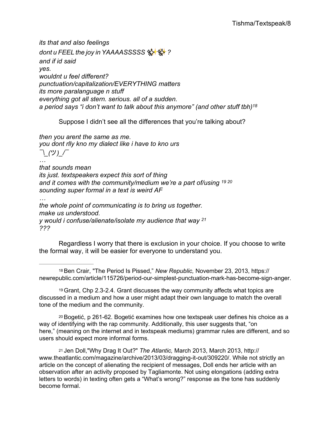*its that and also feelings dont u FEEL the joy in YAAAASSSSS*✨✨*? and if id said yes. wouldnt u feel different? punctuation/capitalization/EVERYTHING matters its more paralanguage n stuff everything got all stern. serious. all of a sudden. a period says "i don't want to talk about this anymore" (and other stuff tbh[\)18](#page-8-0)*

<span id="page-8-6"></span><span id="page-8-5"></span><span id="page-8-4"></span>Suppose I didn't see all the differences that you're talking about?

*then you arent the same as me. you dont rlly kno my dialect like i have to kno urs ¯\\_(*ツ*)\_/¯*

*… that sounds mean its just. textspeakers expect this sort of thing and it comes with the community/medium we're a part of/using [19](#page-8-1) [20](#page-8-2) sounding super formal in a text is weird AF … the whole point of communicating is to bring us together.* 

<span id="page-8-7"></span>*make us understood. y would i confuse/alienate/isolate my audience that way [21](#page-8-3) ???*

Regardless I worry that there is exclusion in your choice. If you choose to write the formal way, it will be easier for everyone to understand you.

<span id="page-8-0"></span>[18](#page-8-4) Ben Crair, "The Period Is Pissed," *New Republic,* November 23, 2013, https:// newrepublic.com/article/115726/period-our-simplest-punctuation-mark-has-become-sign-anger.

<span id="page-8-1"></span>[19](#page-8-5) Grant, Chp 2.3-2.4. Grant discusses the way community affects what topics are discussed in a medium and how a user might adapt their own language to match the overall tone of the medium and the community.

<span id="page-8-2"></span>[20](#page-8-6) Bogetić, p 261-62. Bogetić examines how one textspeak user defines his choice as a way of identifying with the rap community. Additionally, this user suggests that, "on here," (meaning on the internet and in textspeak mediums) grammar rules are different, and so users should expect more informal forms.

<span id="page-8-3"></span>[21](#page-8-7) Jen Doll,"Why Drag It Out?" *The Atlantic,* March 2013, March 2013, http:// [www.theatlantic.com/magazine/archive/2013/03/dragging-it-out/309220/. W](http://www.theatlantic.com/magazine/archive/2013/03/dragging-it-out/309220/)hile not strictly an article on the concept of alienating the recipient of messages, Doll ends her article with an observation after an activity proposed by Tagliamonte. Not using elongations (adding extra letters to words) in texting often gets a "What's wrong?" response as the tone has suddenly become formal.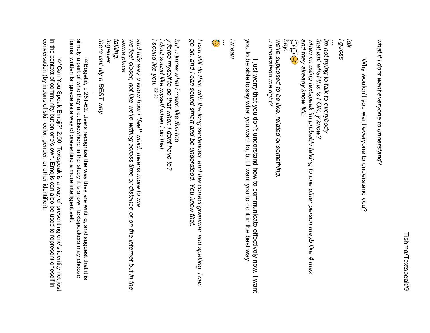what if i dont want everyone to understand? *what if i dont want everyone to understand?*

Why wouldn't you want everyone to understand you? Why wouldn't you want everyone to understand you?

*hey.* when im using textspeak im probably talking to one other person mayb like 4 max im not trying to talk to everybody<br>that isnt what this is FOR, y'know? *i guess*  $\mathbb{C} \mathbb{C}$ *and they already know ME when im using textspeak im probably talking to one other person mayb like 4 max that isnt what this is FOR, y'know? im not trying to talk to everybody … idk*

I just worry that you don't understand how to communicate effectively now. I want you to be able to say what you want to, but I want you to do it in the best way.

*u understand me right?*

*we're supposed to be like, related or something.* 

*i mean*



*go on, and I can sound smart and be understood. You know that. I can still do this, with the long sentences, and the correct grammar and spelling. I can* 

<span id="page-9-3"></span><span id="page-9-2"></span>*i sound like you. i dont sound like myself when i do that. y force myself to do that when i dont have to? but u know what i mean like this too [22](#page-9-0) [23](#page-9-1)*

*we feel closer, not like we're writing across time or distance or on the internet but in t and this way u know how i \*feel\* which means more to me* we feel closer, not like we're writing across time or distance or on the internet but in the *there isnt rlly a BEST way together. talking. same place*  $\nabla \rho \bigodot$ <br>
in the supposed to be like, related or something.<br>
were supposed to be like, related or something.<br>
in the company of can also but our the this can also be understood. You know that<br>
in the community and in

<span id="page-9-1"></span><span id="page-9-0"></span>[22](#page-9-2) Bogetić, p 261-62. Users recognize the way they are writing, and suggest that it is Bogetić, p 261-62. Users recognize the way they are writing, and suggest that it is formal written language as a way of presenting a more intelligent self. simply a part of who they are. Elsewhere in the study it is shown textspeakers may choose

<sup>[23](#page-9-3) "</sup>Can You Speak Emoji?" 2:00. Textspeak is a way of presenting one's identity not just "Can You Speak Emoji?" 2:00. Textspeak is a way of presenting one's identity not just conversation (by means of skin color, gender, or other identifier).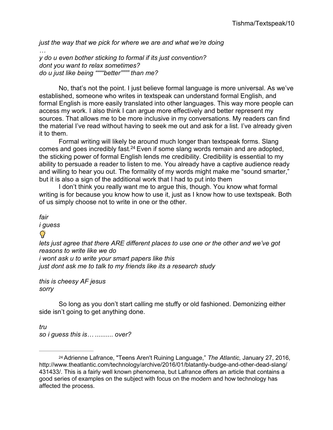*just the way that we pick for where we are and what we're doing … y do u even bother sticking to formal if its just convention? dont you want to relax sometimes?*

*do u just like being """"better"""" than me?*

No, that's not the point. I just believe formal language is more universal. As we've established, someone who writes in textspeak can understand formal English, and formal English is more easily translated into other languages. This way more people can access my work. I also think I can argue more effectively and better represent my sources. That allows me to be more inclusive in my conversations. My readers can find the material I've read without having to seek me out and ask for a list. I've already given it to them.

<span id="page-10-1"></span>Formal writing will likely be around much longer than textspeak forms. Slang comes and goes incredibly fast.<sup>24</sup> Even if some slang words remain and are adopted, the sticking power of formal English lends me credibility. Credibility is essential to my ability to persuade a reader to listen to me. You already have a captive audience ready and willing to hear you out. The formality of my words might make me "sound smarter," but it is also a sign of the additional work that I had to put into them

I don't think you really want me to argue this, though. You know what formal writing is for because you know how to use it, just as I know how to use textspeak. Both of us simply choose not to write in one or the other.

*fair*

*i guess*

### $\mathbf Q$

*lets just agree that there ARE different places to use one or the other and we've got reasons to write like we do i wont ask u to write your smart papers like this just dont ask me to talk to my friends like its a research study*

*this is cheesy AF jesus sorry*

So long as you don't start calling me stuffy or old fashioned. Demonizing either side isn't going to get anything done.

*tru so i guess this is… .......... over?*

<span id="page-10-0"></span>[<sup>24</sup> A](#page-10-1)drienne Lafrance, "Teens Aren't Ruining Language," *The Atlantic,* January 27, 2016, <http://www.theatlantic.com/technology/archive/2016/01/blatantly-budge-and-other-dead-slang/> 431433/. This is a fairly well known phenomena, but Lafrance offers an article that contains a good series of examples on the subject with focus on the modern and how technology has affected the process.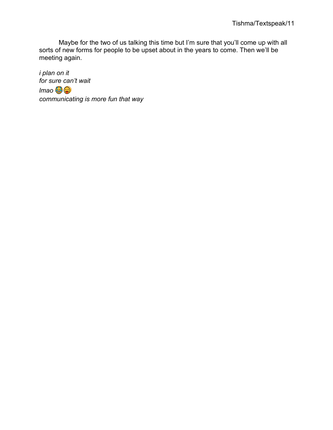Maybe for the two of us talking this time but I'm sure that you'll come up with all sorts of new forms for people to be upset about in the years to come. Then we'll be meeting again.

i plan on it for sure can't wait  $\mathsf{Imao} \bigcirc \mathsf{G} \bigcirc \mathsf{G}$ communicating is more fun that way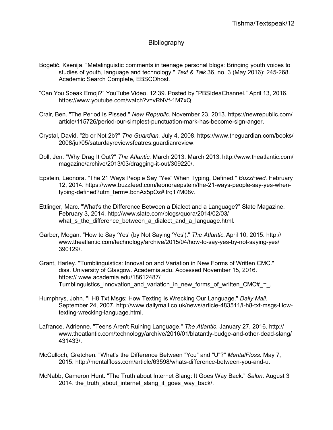#### **Bibliography**

- Bogetić, Ksenija. "Metalinguistic comments in teenage personal blogs: Bringing youth voices to studies of youth, language and technology." *Text & Talk* 36, no. 3 (May 2016): 245-268. Academic Search Complete, EBSCOhost.
- "Can You Speak Emoji?" YouTube Video. 12:39. Posted by "PBSIdeaChannel." April 13, 2016. https[://www.youtube.com/watch?v=vRNVf-1M7xQ.](http://www.youtube.com/watch?v=vRNVf-1M7xQ)
- Crair, Ben. "The Period Is Pissed." *New Republic*. November 23, 2013. https://newrepublic.com/ article/115726/period-our-simplest-punctuation-mark-has-become-sign-anger.
- Crystal, David. "2b or Not 2b?" *The Guardian.* July 4, 2008. https[://www.theguardian.com/books/](http://www.theguardian.com/books/) 2008/jul/05/saturdayreviewsfeatres.guardianreview.
- Doll, Jen. "Why Drag It Out?" *The Atlantic.* March 2013. March 2013. <http://www.theatlantic.com/> magazine/archive/2013/03/dragging-it-out/309220/.
- Epstein, Leonora. "The 21 Ways People Say "Yes" When Typing, Defined." *BuzzFeed.* February 12, 2014. https[://www.buzzfeed.com/leonoraepstein/the-21-ways-people-say-yes-when](http://www.buzzfeed.com/leonoraepstein/the-21-ways-people-say-yes-when-)typing-defined?utm\_term=.bcnAx5pOz#.lrq17M08v.
- Ettlinger, Marc. "What's the Difference Between a Dialect and a Language?" Slate Magazine. February 3, 2014.<http://www.slate.com/blogs/quora/2014/02/03/> what\_s\_the\_difference\_between\_a\_dialect\_and\_a\_language.html.
- Garber, Megan. "How to Say 'Yes' (by Not Saying 'Yes')." *The Atlantic.* April 10, 2015. http:/[/](http://www.theatlantic.com/technology/archive/2015/04/how-to-say-yes-by-not-saying-yes/) [www.theatlantic.com/technology/archive/2015/04/how-to-say-yes-by-not-saying-yes/](http://www.theatlantic.com/technology/archive/2015/04/how-to-say-yes-by-not-saying-yes/) 390129/.
- Grant, Harley. "Tumblinguistics: Innovation and Variation in New Forms of Written CMC." diss. University of Glasgow. Academia.edu. Accessed November 15, 2016. https:// [www.academia.edu/18612487/](http://www.academia.edu/18612487/) Tumblinguistics innovation and variation in new forms of written CMC# $=$ .
- Humphrys, John. "I H8 Txt Msgs: How Texting Is Wrecking Our Language." *Daily Mail.* September 24, 2007. [http://www.dailymail.co.uk/news/article-483511/I-h8-txt-msgs-How](http://www.dailymail.co.uk/news/article-483511/I-h8-txt-msgs-How-)texting-wrecking-language.html.
- Lafrance, Adrienne. "Teens Aren't Ruining Language." *The Atlantic*. January 27, 2016. http:/[/](http://www.theatlantic.com/technology/archive/2016/01/blatantly-budge-and-other-dead-slang/) [www.theatlantic.com/technology/archive/2016/01/blatantly-budge-and-other-dead-slang/](http://www.theatlantic.com/technology/archive/2016/01/blatantly-budge-and-other-dead-slang/) 431433/.
- McCulloch, Gretchen. "What's the Difference Between "You" and "U"?" *MentalFloss*. May 7, 201[5. http://mentalfloss.com/article/63598/whats-difference-between-you-and-u.](http://mentalfloss.com/article/63598/whats-difference-between-you-and-u)
- McNabb, Cameron Hunt. "The Truth about Internet Slang: It Goes Way Back." *Salon*. August 3 2014. the truth about internet slang it goes way back/.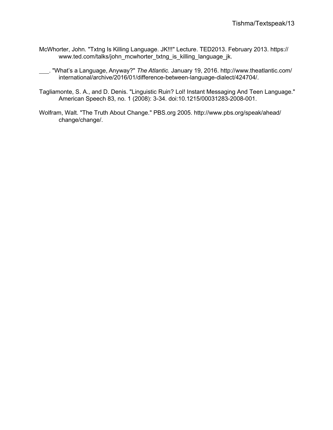- McWhorter, John. "Txtng Is Killing Language. JK!!!" Lecture. TED2013. February 2013. https:/[/](http://www.ted.com/talks/john_mcwhorter_txtng_is_killing_language_jk) [www.ted.com/talks/john\\_mcwhorter\\_txtng\\_is\\_killing\\_language\\_jk.](http://www.ted.com/talks/john_mcwhorter_txtng_is_killing_language_jk)
- . "What's a Language, Anyway?" *The Atlantic.* January 19, 2016. <http://www.theatlantic.com/><br>international/archive/2016/01/difference-between-language-dialect/424704/ international/archive/2016/01/difference-between-language-dialect/424704/.
- Tagliamonte, S. A., and D. Denis. "Linguistic Ruin? Lol! Instant Messaging And Teen Language." American Speech 83, no. 1 (2008): 3-34. doi:10.1215/00031283-2008-001.
- Wolfram, Walt. "The Truth About Change." PBS.org 2005.<http://www.pbs.org/speak/ahead/> change/change/.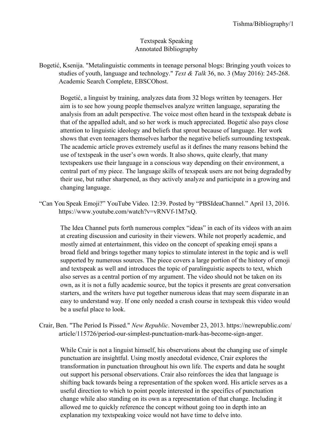#### Textspeak Speaking Annotated Bibliography

Bogetić, Ksenija. "Metalinguistic comments in teenage personal blogs: Bringing youth voices to studies of youth, language and technology." *Text & Talk* 36, no. 3 (May 2016): 245-268. Academic Search Complete, EBSCOhost.

Bogetić, a linguist by training, analyzes data from 32 blogs written by teenagers. Her aim is to see how young people themselves analyze written language, separating the analysis from an adult perspective. The voice most often heard in the textspeak debate is that of the appalled adult, and so her work is much appreciated. Bogetić also pays close attention to linguistic ideology and beliefs that sprout because of language. Her work shows that even teenagers themselves harbor the negative beliefs surrounding textspeak. The academic article proves extremely useful as it defines the many reasons behind the use of textspeak in the user's own words. It also shows, quite clearly, that many textspeakers use their language in a conscious way depending on their environment, a central part of my piece. The language skills of texspeak users are not being degraded by their use, but rather sharpened, as they actively analyze and participate in a growing and changing language.

"Can You Speak Emoji?" YouTube Video. 12:39. Posted by "PBSIdeaChannel." April 13, 2016. ht[tps://www.youtube.com/watch?v=vRNVf](http://www.youtube.com/watch?v=vRNVf-1M7xQ)-1M7xQ.

The Idea Channel puts forth numerous complex "ideas" in each of its videos with an aim at creating discussion and curiosity in their viewers. While not properly academic, and mostly aimed at entertainment, this video on the concept of speaking emoji spans a broad field and brings together many topics to stimulate interest in the topic and is well supported by numerous sources. The piece covers a large portion of the history of emoji and textspeak as well and introduces the topic of paralinguistic aspects to text, which also serves as a central portion of my argument. The video should not be taken on its own, as it is not a fully academic source, but the topics it presents are great conversation starters, and the writers have put together numerous ideas that may seem disparate in an easy to understand way. If one only needed a crash course in textspeak this video would be a useful place to look.

Crair, Ben. "The Period Is Pissed." *New Republic*. November 23, 2013. https://newrepublic.com/ article/115726/period-our-simplest-punctuation-mark-has-become-sign-anger.

While Crair is not a linguist himself, his observations about the changing use of simple punctuation are insightful. Using mostly anecdotal evidence, Crair explores the transformation in punctuation throughout his own life. The experts and data he sought out support his personal observations. Crair also reinforces the idea that language is shifting back towards being a representation of the spoken word. His article serves as a useful direction to which to point people interested in the specifics of punctuation change while also standing on its own as a representation of that change. Including it allowed me to quickly reference the concept without going too in depth into an explanation my textspeaking voice would not have time to delve into.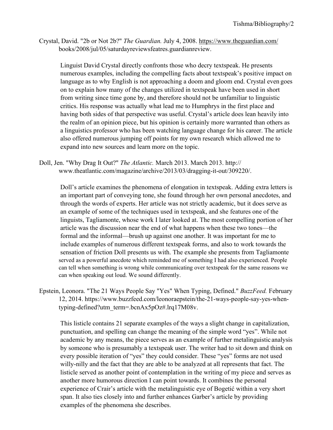Crystal, David. "2b or Not 2b?" *The Guardian.* July 4, 2008. https:/[/www.theguardian.com/](http://www.theguardian.com/) books/2008/jul/05/saturdayreviewsfeatres.guardianreview.

Linguist David Crystal directly confronts those who decry textspeak. He presents numerous examples, including the compelling facts about textspeak's positive impact on language as to why English is not approaching a doom and gloom end. Crystal even goes on to explain how many of the changes utilized in textspeak have been used in short from writing since time gone by, and therefore should not be unfamiliar to linguistic critics. His response was actually what lead me to Humphrys in the first place and having both sides of that perspective was useful. Crystal's article does lean heavily into the realm of an opinion piece, but his opinion is certainly more warranted than others as a linguistics professor who has been watching language change for his career. The article also offered numerous jumping off points for my own research which allowed me to expand into new sources and learn more on the topic.

Doll, Jen. "Why Drag It Out?" *The Atlantic.* March 2013. March 2013. http:/[/](http://www.theatlantic.com/magazine/archive/2013/03/dragging-it-out/309220/) [www.theatlantic.com/magazine/archive/2013/03/dragging](http://www.theatlantic.com/magazine/archive/2013/03/dragging-it-out/309220/)-it-out/309220/.

Doll's article examines the phenomena of elongation in textspeak. Adding extra letters is an important part of conveying tone, she found through her own personal anecdotes, and through the words of experts. Her article was not strictly academic, but it does serve as an example of some of the techniques used in textspeak, and she features one of the linguists, Tagliamonte, whose work I later looked at. The most compelling portion of her article was the discussion near the end of what happens when these two tones—the formal and the informal—brush up against one another. It was important for me to include examples of numerous different textspeak forms, and also to work towards the sensation of friction Doll presents us with. The example she presents from Tagliamonte served as a powerful anecdote which reminded me of something I had also experienced. People can tell when something is wrong while communicating over textspeak for the same reasons we can when speaking out loud. We sound differently.

Epstein, Leonora. "The 21 Ways People Say "Yes" When Typing, Defined." *BuzzFeed.* February 12, 2014. h[ttps://www.buzzfeed.com/leonoraepstein/the](http://www.buzzfeed.com/leonoraepstein/the-21-ways-people-say-yes-when-)-21-ways-people-say-yes-whentyping-defined?utm\_term=.bcnAx5pOz#.lrq17M08v.

This listicle contains 21 separate examples of the ways a slight change in capitalization, punctuation, and spelling can change the meaning of the simple word "yes". While not academic by any means, the piece serves as an example of further metalinguistic analysis by someone who is presumably a textspeak user. The writer had to sit down and think on every possible iteration of "yes" they could consider. These "yes" forms are not used willy-nilly and the fact that they are able to be analyzed at all represents that fact. The listicle served as another point of contemplation in the writing of my piece and serves as another more humorous direction I can point towards. It combines the personal experience of Crair's article with the metalinguistic eye of Bogetić within a very short span. It also ties closely into and further enhances Garber's article by providing examples of the phenomena she describes.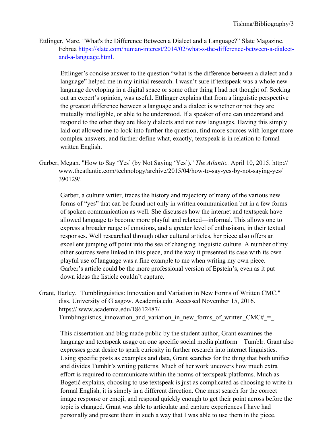Ettlinger, Marc. "What's the Difference Between a Dialect and a Language?" Slate Magazine. Februa [https://slate.com/human](https://slate.com/human-interest/2014/02/what-s-the-difference-between-a-dialect-and-a-language.html)-interest/2014/02/what-s-the-difference-between-a-dialectand-a-[language.html.](https://slate.com/human-interest/2014/02/what-s-the-difference-between-a-dialect-and-a-language.html)

Ettlinger's concise answer to the question "what is the difference between a dialect and a language" helped me in my initial research. I wasn't sure if textspeak was a whole new language developing in a digital space or some other thing I had not thought of. Seeking out an expert's opinion, was useful. Ettlinger explains that from a linguistic perspective the greatest difference between a language and a dialect is whether or not they are mutually intelligible, or able to be understood. If a speaker of one can understand and respond to the other they are likely dialects and not new languages. Having this simply laid out allowed me to look into further the question, find more sources with longer more complex answers, and further define what, exactly, textspeak is in relation to formal written English.

Garber, Megan. "How to Say 'Yes' (by Not Saying 'Yes')." *The Atlantic.* April 10, 2015. http:/[/](http://www.theatlantic.com/technology/archive/2015/04/how-to-say-yes-by-not-saying-yes/) [www.theatlantic.com/technology/archive/2015/04/how](http://www.theatlantic.com/technology/archive/2015/04/how-to-say-yes-by-not-saying-yes/)-to-say-yes-by-not-saying-yes/ 390129/.

Garber, a culture writer, traces the history and trajectory of many of the various new forms of "yes" that can be found not only in written communication but in a few forms of spoken communication as well. She discusses how the internet and textspeak have allowed language to become more playful and relaxed—informal. This allows one to express a broader range of emotions, and a greater level of enthusiasm, in their textual responses. Well researched through other cultural articles, her piece also offers an excellent jumping off point into the sea of changing linguistic culture. A number of my other sources were linked in this piece, and the way it presented its case with its own playful use of language was a fine example to me when writing my own piece. Garber's article could be the more professional version of Epstein's, even as it put down ideas the listicle couldn't capture.

Grant, Harley. "Tumblinguistics: Innovation and Variation in New Forms of Written CMC." diss. University of Glasgow. Academia.edu. Accessed November 15, 2016. https:// [www.academia.edu/18612487/](http://www.academia.edu/18612487/) Tumblinguistics\_innovation\_and\_variation\_in\_new\_forms\_of\_written\_CMC# = .

This dissertation and blog made public by the student author, Grant examines the language and textspeak usage on one specific social media platform—Tumblr. Grant also expresses great desire to spark curiosity in further research into internet linguistics. Using specific posts as examples and data, Grant searches for the thing that both unifies and divides Tumblr's writing patterns. Much of her work uncovers how much extra effort is required to communicate within the norms of textspeak platforms. Much as Bogetić explains, choosing to use textspeak is just as complicated as choosing to write in formal English, it is simply in a different direction. One must search for the correct image response or emoji, and respond quickly enough to get their point across before the topic is changed. Grant was able to articulate and capture experiences I have had personally and present them in such a way that I was able to use them in the piece.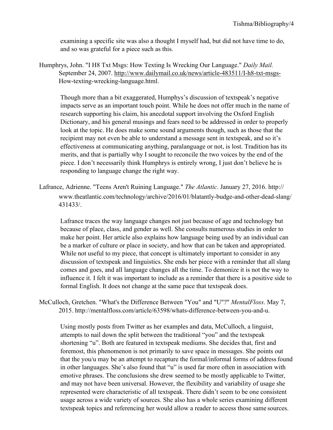examining a specific site was also a thought I myself had, but did not have time to do, and so was grateful for a piece such as this.

Humphrys, John. "I H8 Txt Msgs: How Texting Is Wrecking Our Language." *Daily Mail.* September 24, 2007. [http://www.dailymail.co.uk/news/article](http://www.dailymail.co.uk/news/article-483511/I-h8-txt-msgs-)-483511/I-h8-txt-msgs-How-texting-wrecking-language.html.

Though more than a bit exaggerated, Humphys's discussion of textspeak's negative impacts serve as an important touch point. While he does not offer much in the name of research supporting his claim, his anecdotal support involving the Oxford English Dictionary, and his general musings and fears need to be addressed in order to properly look at the topic. He does make some sound arguments though, such as those that the recipient may not even be able to understand a message sent in textspeak, and so it's effectiveness at communicating anything, paralanguage or not, is lost. Tradition has its merits, and that is partially why I sought to reconcile the two voices by the end of the piece. I don't necessarily think Humphrys is entirely wrong, I just don't believe he is responding to language change the right way.

Lafrance, Adrienne. "Teens Aren't Ruining Language." *The Atlantic*. January 27, 2016. http:// [www.theatlantic.com/technology/archive/2016/01/blatantly](http://www.theatlantic.com/technology/archive/2016/01/blatantly-budge-and-other-dead-slang/)-budge-and-other-dead-slang/ 431433/.

Lafrance traces the way language changes not just because of age and technology but because of place, class, and gender as well. She consults numerous studies in order to make her point. Her article also explains how language being used by an individual can be a marker of culture or place in society, and how that can be taken and appropriated. While not useful to my piece, that concept is ultimately important to consider in any discussion of textspeak and linguistics. She ends her piece with a reminder that all slang comes and goes, and all language changes all the time. To demonize it is not the way to influence it. I felt it was important to include as a reminder that there is a positive side to formal English. It does not change at the same pace that textspeak does.

McCulloch, Gretchen. "What's the Difference Between "You" and "U"?" *MentalFloss*. May 7, [2015. http://mentalfloss.com/article/63598/whats](http://mentalfloss.com/article/63598/whats-difference-between-you-and-u)-difference-between-you-and-u.

Using mostly posts from Twitter as her examples and data, McCulloch, a linguist, attempts to nail down the split between the traditional "you" and the textspeak shortening "u". Both are featured in textspeak mediums. She decides that, first and foremost, this phenomenon is not primarily to save space in messages. She points out that the you/u may be an attempt to recapture the formal/informal forms of addressfound in other languages. She's also found that "u" is used far more often in association with emotive phrases. The conclusions she drew seemed to be mostly applicable to Twitter, and may not have been universal. However, the flexibility and variability of usage she represented were characteristic of all textspeak. There didn't seem to be one consistent usage across a wide variety of sources. She also has a whole series examining different textspeak topics and referencing her would allow a reader to access those same sources.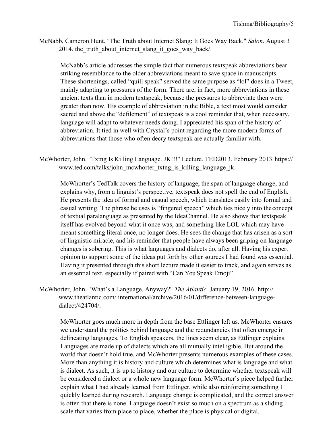McNabb, Cameron Hunt. "The Truth about Internet Slang: It Goes Way Back." *Salon*. August 3 2014. the truth about internet slang it goes way back/.

McNabb's article addresses the simple fact that numerous textspeak abbreviations bear striking resemblance to the older abbreviations meant to save space in manuscripts. These shortenings, called "quill speak" served the same purpose as "lol" does in a Tweet, mainly adapting to pressures of the form. There are, in fact, more abbreviations in these ancient texts than in modern textspeak, because the pressures to abbreviate then were greater than now. His example of abbreviation in the Bible, a text most would consider sacred and above the "defilement" of textspeak is a cool reminder that, when necessary, language will adapt to whatever needs doing. I appreciated his span of the history of abbreviation. It tied in well with Crystal's point regarding the more modern forms of abbreviations that those who often decry textspeak are actually familiar with.

McWhorter, John. "Txtng Is Killing Language. JK!!!" Lecture. TED2013. February 2013. https:/[/](http://www.ted.com/talks/john_mcwhorter_txtng_is_killing_language_jk) [www.ted.com/talks/john\\_mcwhorter\\_txtng\\_is\\_killing\\_language\\_jk.](http://www.ted.com/talks/john_mcwhorter_txtng_is_killing_language_jk)

McWhorter's TedTalk covers the history of language, the span of language change, and explains why, from a linguist's perspective, textspeak does not spell the end of English. He presents the idea of formal and casual speech, which translates easily into formal and casual writing. The phrase he uses is "fingered speech" which ties nicely into theconcept of textual paralanguage as presented by the IdeaChannel. He also shows that textspeak itself has evolved beyond what it once was, and something like LOL which may have meant something literal once, no longer does. He sees the change that has arisen as a sort of linguistic miracle, and his reminder that people have always been griping on language changes is sobering. This is what languages and dialects do, after all. Having his expert opinion to support some of the ideas put forth by other sources I had found was essential. Having it presented through this short lecture made it easier to track, and again serves as an essential text, especially if paired with "Can You Speak Emoji".

McWhorter, John. "What's a Language, Anyway?" *The Atlantic.* January 19, 2016. http:/[/](http://www.theatlantic.com/) [www.theatlantic.com/ i](http://www.theatlantic.com/)nternational/archive/2016/01/difference-between-languagedialect/424704/.

McWhorter goes much more in depth from the base Ettlinger left us. McWhorter ensures we understand the politics behind language and the redundancies that often emerge in delineating languages. To English speakers, the lines seem clear, as Ettlinger explains. Languages are made up of dialects which are all mutually intelligible. But around the world that doesn't hold true, and McWhorter presents numerous examples of these cases. More than anything it is history and culture which determines what is language and what is dialect. As such, it is up to history and our culture to determine whether textspeak will be considered a dialect or a whole new language form. McWhorter's piece helped further explain what I had already learned from Ettlinger, while also reinforcing something I quickly learned during research. Language change is complicated, and the correct answer is often that there is none. Language doesn't exist so much on a spectrum as a sliding scale that varies from place to place, whether the place is physical or digital.